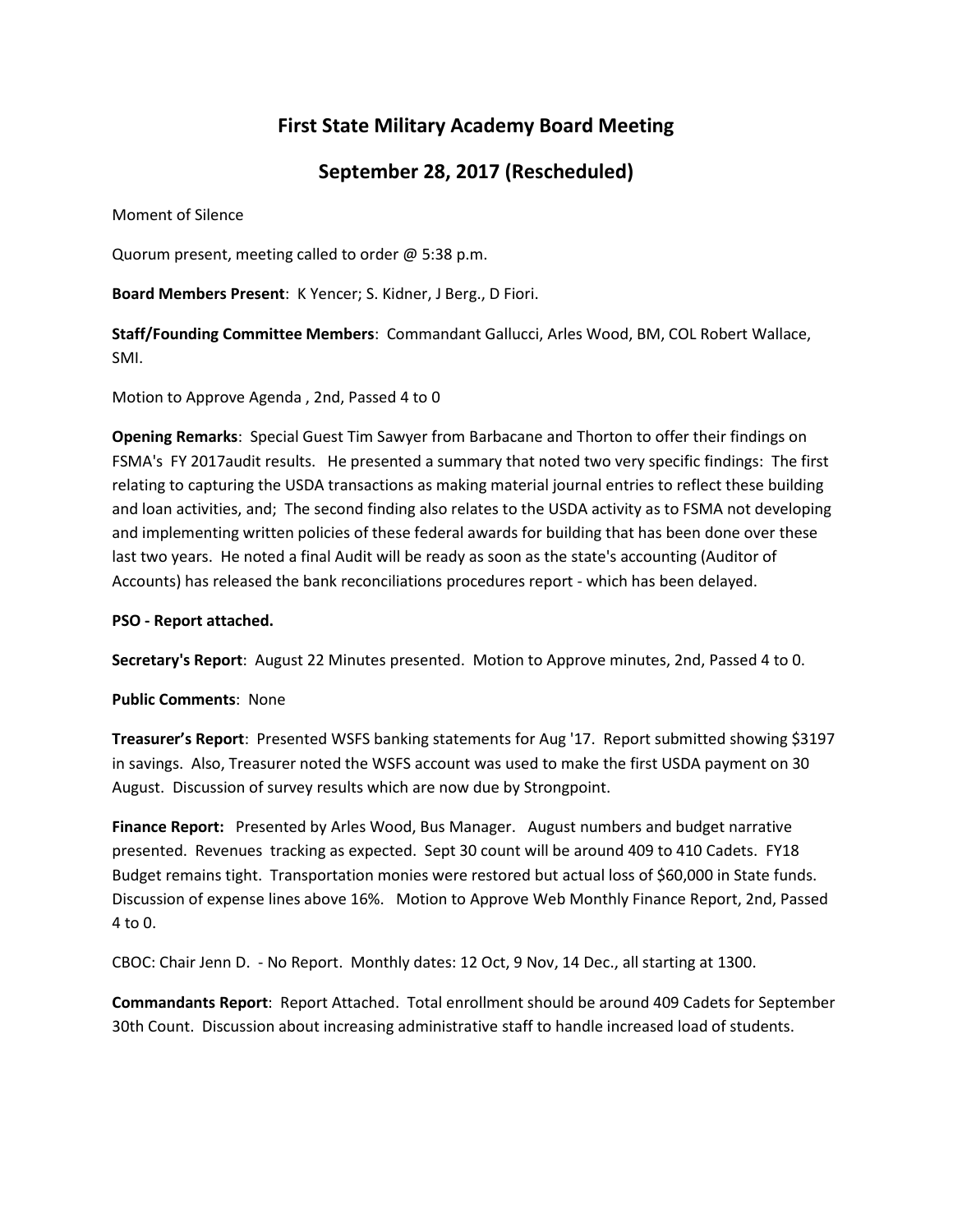# **First State Military Academy Board Meeting**

## **September 28, 2017 (Rescheduled)**

Moment of Silence

Quorum present, meeting called to order @ 5:38 p.m.

**Board Members Present**: K Yencer; S. Kidner, J Berg., D Fiori.

**Staff/Founding Committee Members**: Commandant Gallucci, Arles Wood, BM, COL Robert Wallace, SMI.

Motion to Approve Agenda , 2nd, Passed 4 to 0

**Opening Remarks**: Special Guest Tim Sawyer from Barbacane and Thorton to offer their findings on FSMA's FY 2017audit results. He presented a summary that noted two very specific findings: The first relating to capturing the USDA transactions as making material journal entries to reflect these building and loan activities, and; The second finding also relates to the USDA activity as to FSMA not developing and implementing written policies of these federal awards for building that has been done over these last two years. He noted a final Audit will be ready as soon as the state's accounting (Auditor of Accounts) has released the bank reconciliations procedures report - which has been delayed.

#### **PSO - Report attached.**

**Secretary's Report**: August 22 Minutes presented. Motion to Approve minutes, 2nd, Passed 4 to 0.

**Public Comments**: None

**Treasurer's Report**: Presented WSFS banking statements for Aug '17. Report submitted showing \$3197 in savings. Also, Treasurer noted the WSFS account was used to make the first USDA payment on 30 August. Discussion of survey results which are now due by Strongpoint.

**Finance Report:** Presented by Arles Wood, Bus Manager. August numbers and budget narrative presented. Revenues tracking as expected. Sept 30 count will be around 409 to 410 Cadets. FY18 Budget remains tight. Transportation monies were restored but actual loss of \$60,000 in State funds. Discussion of expense lines above 16%. Motion to Approve Web Monthly Finance Report, 2nd, Passed 4 to 0.

CBOC: Chair Jenn D. - No Report. Monthly dates: 12 Oct, 9 Nov, 14 Dec., all starting at 1300.

**Commandants Report**: Report Attached. Total enrollment should be around 409 Cadets for September 30th Count. Discussion about increasing administrative staff to handle increased load of students.